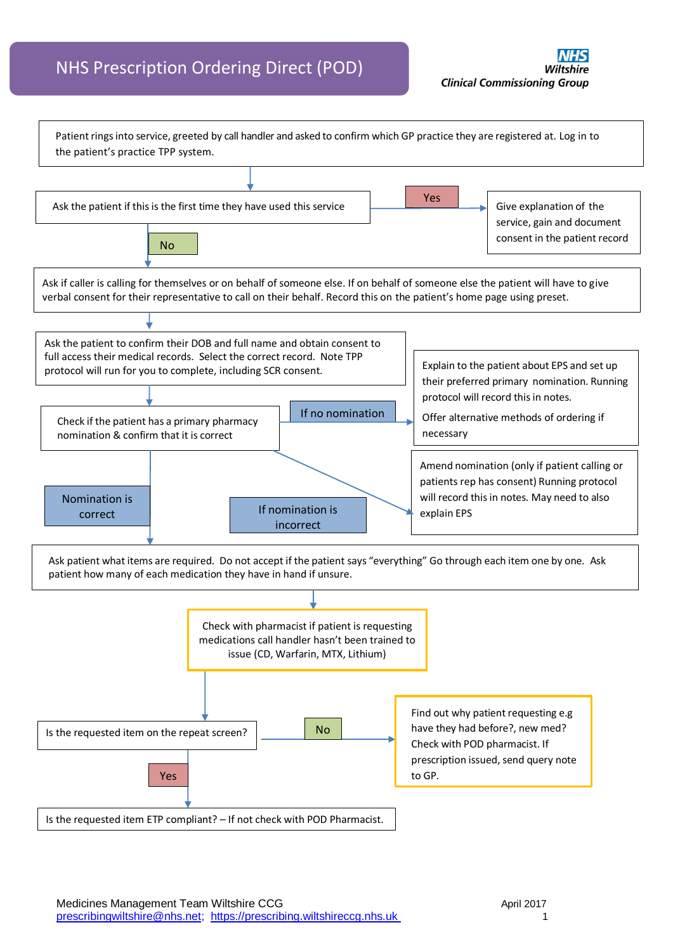## NHS Prescription Ordering Direct (POD)

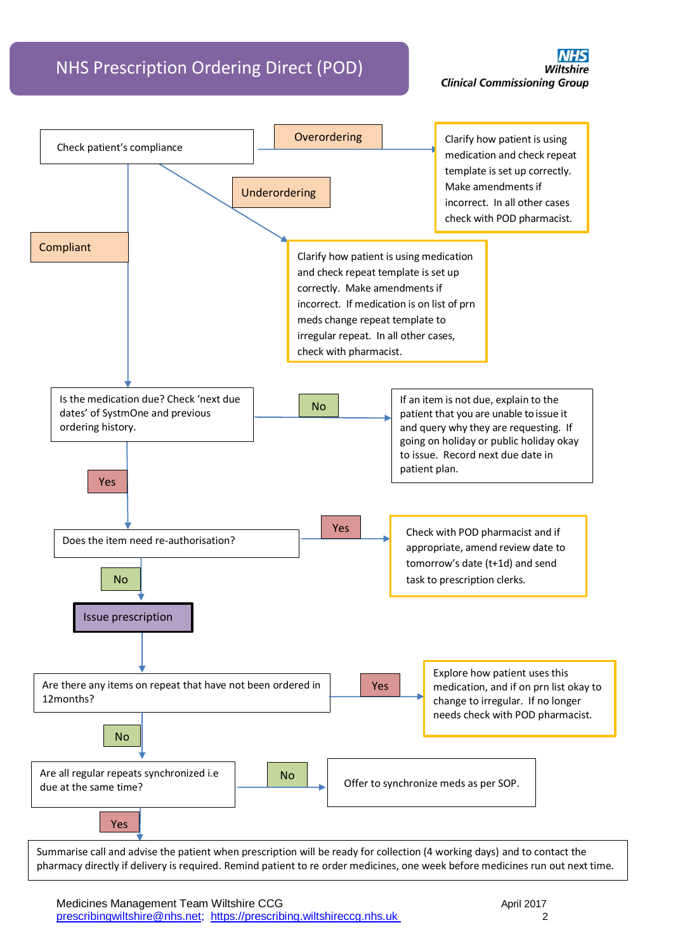## NHS Prescription Ordering Direct (POD)



Medicines Management Team Wiltshire CCG **April 2017** April 2017 prescribingwiltshire@nhs.net; https://prescribing.wiltshireccg.nhs.uk 2